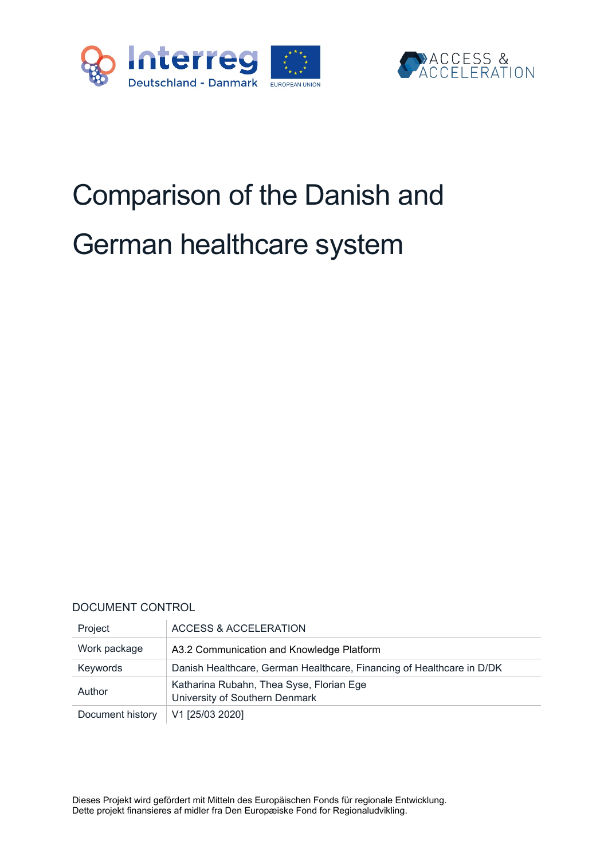



# Comparison of the Danish and German healthcare system

#### DOCUMENT CONTROL

| Project          | ACCESS & ACCELERATION                                                      |
|------------------|----------------------------------------------------------------------------|
| Work package     | A3.2 Communication and Knowledge Platform                                  |
| Keywords         | Danish Healthcare, German Healthcare, Financing of Healthcare in D/DK      |
| Author           | Katharina Rubahn, Thea Syse, Florian Ege<br>University of Southern Denmark |
| Document history | V1 [25/03 2020]                                                            |

Dieses Projekt wird gefördert mit Mitteln des Europäischen Fonds für regionale Entwicklung. Dette projekt finansieres af midler fra Den Europæiske Fond for Regionaludvikling.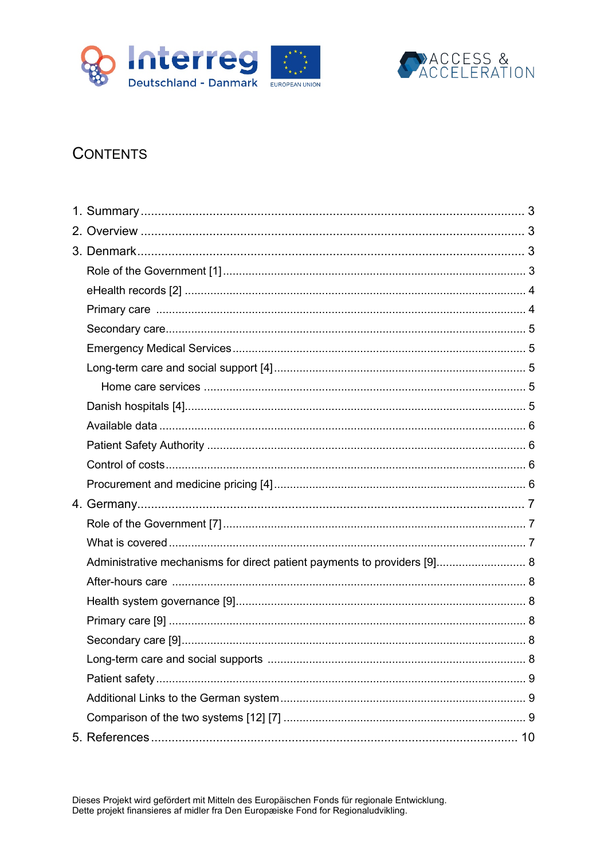



# **CONTENTS**

| Administrative mechanisms for direct patient payments to providers [9] 8 |  |
|--------------------------------------------------------------------------|--|
|                                                                          |  |
|                                                                          |  |
|                                                                          |  |
|                                                                          |  |
|                                                                          |  |
|                                                                          |  |
|                                                                          |  |
|                                                                          |  |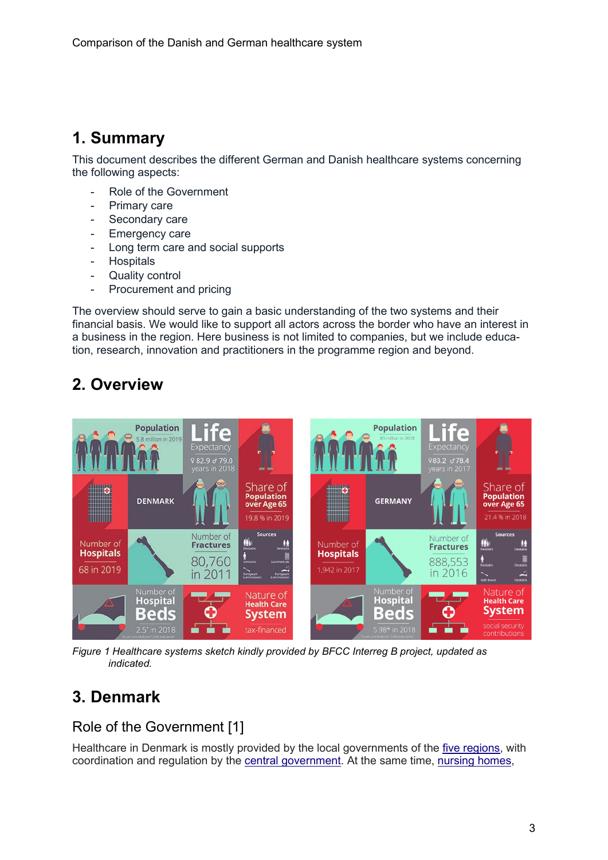# <span id="page-2-0"></span>**1. Summary**

This document describes the different German and Danish healthcare systems concerning the following aspects:

- Role of the Government
- Primary care
- Secondary care
- Emergency care
- Long term care and social supports
- Hospitals
- Quality control
- Procurement and pricing

The overview should serve to gain a basic understanding of the two systems and their financial basis. We would like to support all actors across the border who have an interest in a business in the region. Here business is not limited to companies, but we include education, research, innovation and practitioners in the programme region and beyond.

# <span id="page-2-1"></span>**2. Overview**



*Figure 1 Healthcare systems sketch kindly provided by BFCC Interreg B project, updated as indicated.*

# <span id="page-2-2"></span>**3. Denmark**

## <span id="page-2-3"></span>Role of the Government [1]

Healthcare in Denmark is mostly provided by the local governments of the [five regions,](https://en.wikipedia.org/wiki/Regions_of_Denmark) with coordination and regulation by the [central government.](https://en.wikipedia.org/wiki/Politics_of_Denmark#Executive_branch) At the same time, [nursing homes,](https://en.wikipedia.org/wiki/Nursing_home)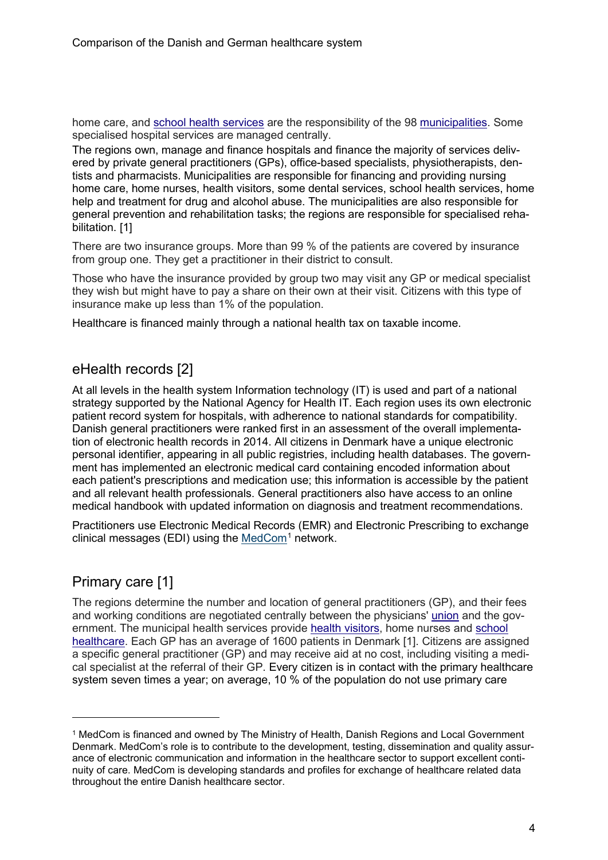home care, and [school health services](https://en.wikipedia.org/wiki/School_health_services) are the responsibility of the 98 [municipalities.](https://en.wikipedia.org/wiki/Municipalities_of_Denmark) Some specialised hospital services are managed centrally.

The regions own, manage and finance hospitals and finance the majority of services delivered by private general practitioners (GPs), office-based specialists, physiotherapists, dentists and pharmacists. Municipalities are responsible for financing and providing nursing home care, home nurses, health visitors, some dental services, school health services, home help and treatment for drug and alcohol abuse. The municipalities are also responsible for general prevention and rehabilitation tasks; the regions are responsible for specialised rehabilitation. [1]

There are two insurance groups. More than 99 % of the patients are covered by insurance from group one. They get a practitioner in their district to consult.

Those who have the insurance provided by group two may visit any GP or medical specialist they wish but might have to pay a share on their own at their visit. Citizens with this type of insurance make up less than 1% of the population.

Healthcare is financed mainly through a national health tax on taxable income.

## <span id="page-3-0"></span>eHealth records [2]

At all levels in the health system Information technology (IT) is used and part of a national strategy supported by the National Agency for Health IT. Each region uses its own electronic patient record system for hospitals, with adherence to national standards for compatibility. Danish general practitioners were ranked first in an assessment of the overall implementation of electronic health records in 2014. All citizens in Denmark have a unique electronic personal identifier, appearing in all public registries, including health databases. The government has implemented an electronic medical card containing encoded information about each patient's prescriptions and medication use; this information is accessible by the patient and all relevant health professionals. General practitioners also have access to an online medical handbook with updated information on diagnosis and treatment recommendations.

Practitioners use Electronic Medical Records (EMR) and Electronic Prescribing to exchange clinical messages (EDI) using the [MedCom](https://www.medcom.dk/)<sup>[1](#page-3-2)</sup> network.

## <span id="page-3-1"></span>Primary care [1]

The regions determine the number and location of general practitioners (GP), and their fees and working conditions are negotiated centrally between the physicians' [union](https://en.wikipedia.org/wiki/Trade_union) and the government. The municipal health services provide [health visitors,](https://en.wikipedia.org/wiki/Health_visitor) home nurses and school [healthcare.](https://en.wikipedia.org/wiki/School_health_services) Each GP has an average of 1600 patients in Denmark [1]. Citizens are assigned a specific general practitioner (GP) and may receive aid at no cost, including visiting a medical specialist at the referral of their GP. Every citizen is in contact with the primary healthcare system seven times a year; on average, 10 % of the population do not use primary care

<span id="page-3-2"></span><sup>1</sup> MedCom is financed and owned by The Ministry of Health, Danish Regions and Local Government Denmark. MedCom's role is to contribute to the development, testing, dissemination and quality assurance of electronic communication and information in the healthcare sector to support excellent continuity of care. MedCom is developing standards and profiles for exchange of healthcare related data throughout the entire Danish healthcare sector.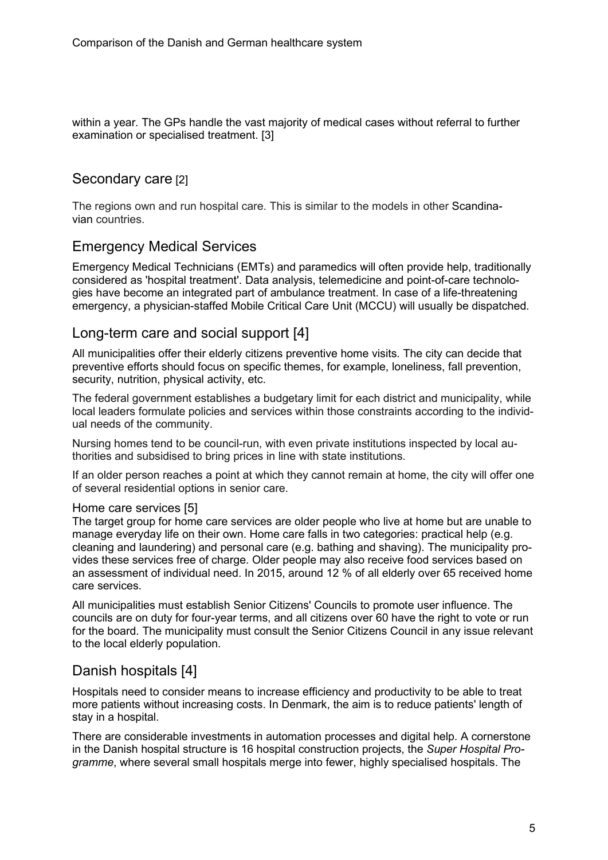within a year. The GPs handle the vast majority of medical cases without referral to further examination or specialised treatment. [3]

## <span id="page-4-0"></span>Secondary care [2]

The regions own and run hospital care. This is similar to the models in other Scandinavian countries.

## <span id="page-4-1"></span>Emergency Medical Services

Emergency Medical Technicians (EMTs) and paramedics will often provide help, traditionally considered as 'hospital treatment'. Data analysis, telemedicine and point-of-care technologies have become an integrated part of ambulance treatment. In case of a life-threatening emergency, a physician-staffed Mobile Critical Care Unit (MCCU) will usually be dispatched.

## <span id="page-4-2"></span>Long-term care and social support [4]

All municipalities offer their elderly citizens preventive home visits. The city can decide that preventive efforts should focus on specific themes, for example, loneliness, fall prevention, security, nutrition, physical activity, etc.

The federal government establishes a budgetary limit for each district and municipality, while local leaders formulate policies and services within those constraints according to the individual needs of the community.

Nursing homes tend to be council-run, with even private institutions inspected by local authorities and subsidised to bring prices in line with state institutions.

If an older person reaches a point at which they cannot remain at home, the city will offer one of several residential options in senior care.

#### <span id="page-4-3"></span>Home care services [5]

The target group for home care services are older people who live at home but are unable to manage everyday life on their own. Home care falls in two categories: practical help (e.g. cleaning and laundering) and personal care (e.g. bathing and shaving). The municipality provides these services free of charge. Older people may also receive food services based on an assessment of individual need. In 2015, around 12 % of all elderly over 65 received home care services.

All municipalities must establish Senior Citizens' Councils to promote user influence. The councils are on duty for four-year terms, and all citizens over 60 have the right to vote or run for the board. The municipality must consult the Senior Citizens Council in any issue relevant to the local elderly population.

## <span id="page-4-4"></span>Danish hospitals [4]

Hospitals need to consider means to increase efficiency and productivity to be able to treat more patients without increasing costs. In Denmark, the aim is to reduce patients' length of stay in a hospital.

There are considerable investments in automation processes and digital help. A cornerstone in the Danish hospital structure is 16 hospital construction projects, the *Super Hospital Programme*, where several small hospitals merge into fewer, highly specialised hospitals. The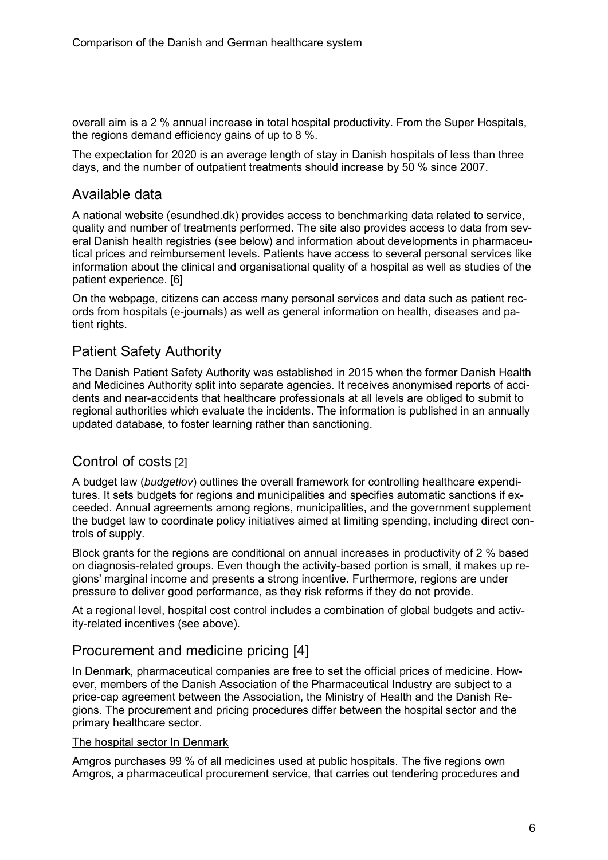overall aim is a 2 % annual increase in total hospital productivity. From the Super Hospitals, the regions demand efficiency gains of up to 8 %.

The expectation for 2020 is an average length of stay in Danish hospitals of less than three days, and the number of outpatient treatments should increase by 50 % since 2007.

## <span id="page-5-0"></span>Available data

A national website (esundhed.dk) provides access to benchmarking data related to service, quality and number of treatments performed. The site also provides access to data from several Danish health registries (see below) and information about developments in pharmaceutical prices and reimbursement levels. Patients have access to several personal services like information about the clinical and organisational quality of a hospital as well as studies of the patient experience. [6]

On the webpage, citizens can access many personal services and data such as patient records from hospitals (e-journals) as well as general information on health, diseases and patient rights.

## <span id="page-5-1"></span>Patient Safety Authority

The Danish Patient Safety Authority was established in 2015 when the former Danish Health and Medicines Authority split into separate agencies. It receives anonymised reports of accidents and near-accidents that healthcare professionals at all levels are obliged to submit to regional authorities which evaluate the incidents. The information is published in an annually updated database, to foster learning rather than sanctioning.

## <span id="page-5-2"></span>Control of costs [2]

A budget law (*budgetlov*) outlines the overall framework for controlling healthcare expenditures. It sets budgets for regions and municipalities and specifies automatic sanctions if exceeded. Annual agreements among regions, municipalities, and the government supplement the budget law to coordinate policy initiatives aimed at limiting spending, including direct controls of supply.

Block grants for the regions are conditional on annual increases in productivity of 2 % based on diagnosis-related groups. Even though the activity-based portion is small, it makes up regions' marginal income and presents a strong incentive. Furthermore, regions are under pressure to deliver good performance, as they risk reforms if they do not provide.

At a regional level, hospital cost control includes a combination of global budgets and activity-related incentives (see above).

## <span id="page-5-3"></span>Procurement and medicine pricing [4]

In Denmark, pharmaceutical companies are free to set the official prices of medicine. However, members of the Danish Association of the Pharmaceutical Industry are subject to a price-cap agreement between the Association, the Ministry of Health and the Danish Regions. The procurement and pricing procedures differ between the hospital sector and the primary healthcare sector.

#### The hospital sector In Denmark

Amgros purchases 99 % of all medicines used at public hospitals. The five regions own Amgros, a pharmaceutical procurement service, that carries out tendering procedures and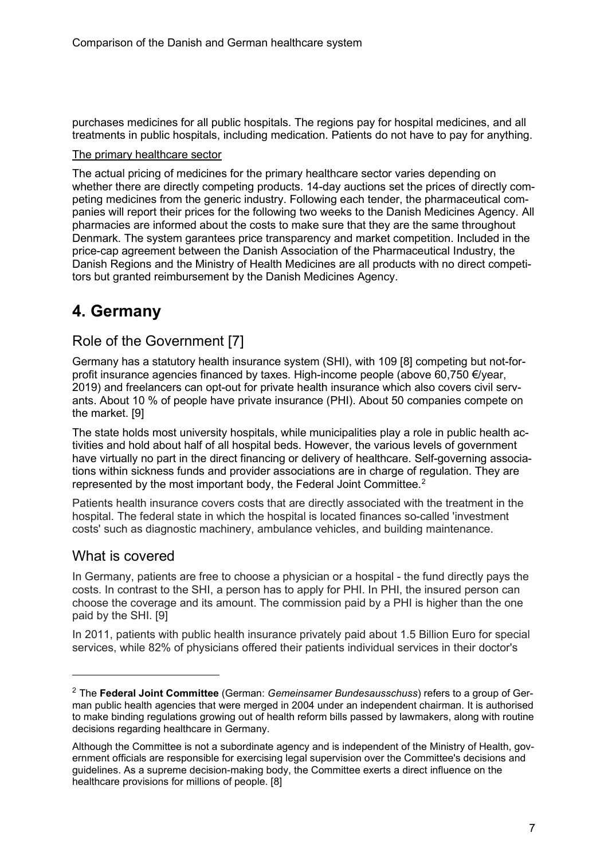purchases medicines for all public hospitals. The regions pay for hospital medicines, and all treatments in public hospitals, including medication. Patients do not have to pay for anything.

#### The primary healthcare sector

The actual pricing of medicines for the primary healthcare sector varies depending on whether there are directly competing products. 14-day auctions set the prices of directly competing medicines from the generic industry. Following each tender, the pharmaceutical companies will report their prices for the following two weeks to the Danish Medicines Agency. All pharmacies are informed about the costs to make sure that they are the same throughout Denmark. The system garantees price transparency and market competition. Included in the price-cap agreement between the Danish Association of the Pharmaceutical Industry, the Danish Regions and the Ministry of Health Medicines are all products with no direct competitors but granted reimbursement by the Danish Medicines Agency.

## <span id="page-6-0"></span>**4. Germany**

### <span id="page-6-1"></span>Role of the Government [7]

Germany has a statutory health insurance system (SHI), with 109 [8] competing but not-forprofit insurance agencies financed by taxes. High-income people (above 60,750 €/year, 2019) and freelancers can opt-out for private health insurance which also covers civil servants. About 10 % of people have private insurance (PHI). About 50 companies compete on the market. [9]

The state holds most university hospitals, while municipalities play a role in public health activities and hold about half of all hospital beds. However, the various levels of government have virtually no part in the direct financing or delivery of healthcare. Self-governing associations within sickness funds and provider associations are in charge of regulation. They are represented by the most important body, the Federal Joint Committee.<sup>[2](#page-6-3)</sup>

Patients health insurance covers costs that are directly associated with the treatment in the hospital. The federal state in which the hospital is located finances so-called 'investment costs' such as diagnostic machinery, ambulance vehicles, and building maintenance.

#### <span id="page-6-2"></span>What is covered

In Germany, patients are free to choose a physician or a hospital - the fund directly pays the costs. In contrast to the SHI, a person has to apply for PHI. In PHI, the insured person can choose the coverage and its amount. The commission paid by a PHI is higher than the one paid by the SHI. [9]

In 2011, patients with public health insurance privately paid about 1.5 Billion Euro for special services, while 82% of physicians offered their patients individual services in their doctor's

<span id="page-6-3"></span><sup>2</sup> The **Federal Joint Committee** (German: *Gemeinsamer Bundesausschuss*) refers to a group of German public health agencies that were merged in 2004 under an independent chairman. It is authorised to make binding regulations growing out of health reform bills passed by lawmakers, along with routine decisions regarding healthcare in Germany.

Although the Committee is not a subordinate agency and is independent of the Ministry of Health, government officials are responsible for exercising legal supervision over the Committee's decisions and guidelines. As a supreme decision-making body, the Committee exerts a direct influence on the healthcare provisions for millions of people. [8]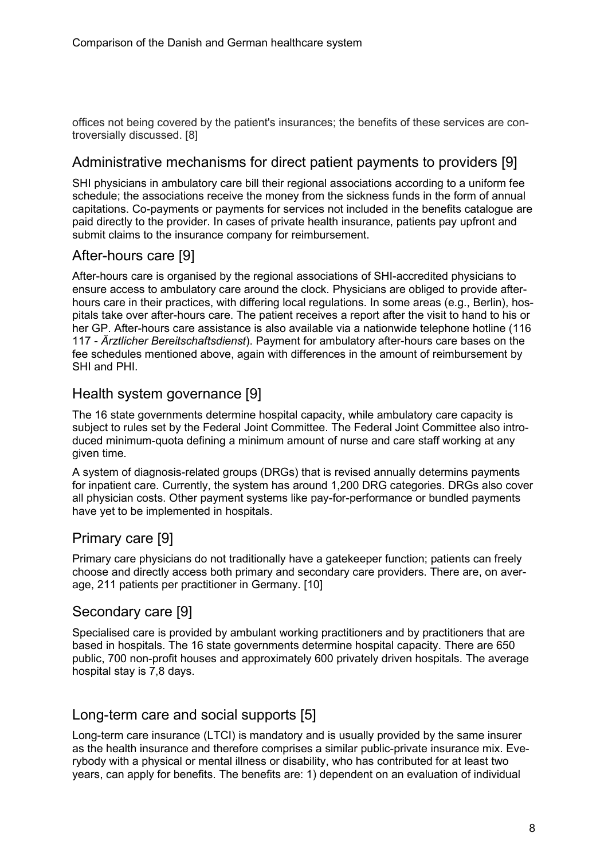offices not being covered by the patient's insurances; the benefits of these services are controversially discussed. [8]

## <span id="page-7-0"></span>Administrative mechanisms for direct patient payments to providers [9]

SHI physicians in ambulatory care bill their regional associations according to a uniform fee schedule; the associations receive the money from the sickness funds in the form of annual capitations. Co-payments or payments for services not included in the benefits catalogue are paid directly to the provider. In cases of private health insurance, patients pay upfront and submit claims to the insurance company for reimbursement.

## <span id="page-7-1"></span>After-hours care [9]

After-hours care is organised by the regional associations of SHI-accredited physicians to ensure access to ambulatory care around the clock. Physicians are obliged to provide afterhours care in their practices, with differing local regulations. In some areas (e.g., Berlin), hospitals take over after-hours care. The patient receives a report after the visit to hand to his or her GP. After-hours care assistance is also available via a nationwide telephone hotline (116 117 - *Ärztlicher Bereitschaftsdienst*). Payment for ambulatory after-hours care bases on the fee schedules mentioned above, again with differences in the amount of reimbursement by SHI and PHI.

## <span id="page-7-2"></span>Health system governance [9]

The 16 state governments determine hospital capacity, while ambulatory care capacity is subject to rules set by the Federal Joint Committee. The Federal Joint Committee also introduced minimum-quota defining a minimum amount of nurse and care staff working at any given time.

A system of diagnosis-related groups (DRGs) that is revised annually determins payments for inpatient care. Currently, the system has around 1,200 DRG categories. DRGs also cover all physician costs. Other payment systems like pay-for-performance or bundled payments have yet to be implemented in hospitals.

## <span id="page-7-3"></span>Primary care [9]

Primary care physicians do not traditionally have a gatekeeper function; patients can freely choose and directly access both primary and secondary care providers. There are, on average, 211 patients per practitioner in Germany. [10]

## <span id="page-7-4"></span>Secondary care [9]

Specialised care is provided by ambulant working practitioners and by practitioners that are based in hospitals. The 16 state governments determine hospital capacity. There are 650 public, 700 non-profit houses and approximately 600 privately driven hospitals. The average hospital stay is 7,8 days.

## <span id="page-7-5"></span>Long-term care and social supports [5]

Long-term care insurance (LTCI) is mandatory and is usually provided by the same insurer as the health insurance and therefore comprises a similar public-private insurance mix. Everybody with a physical or mental illness or disability, who has contributed for at least two years, can apply for benefits. The benefits are: 1) dependent on an evaluation of individual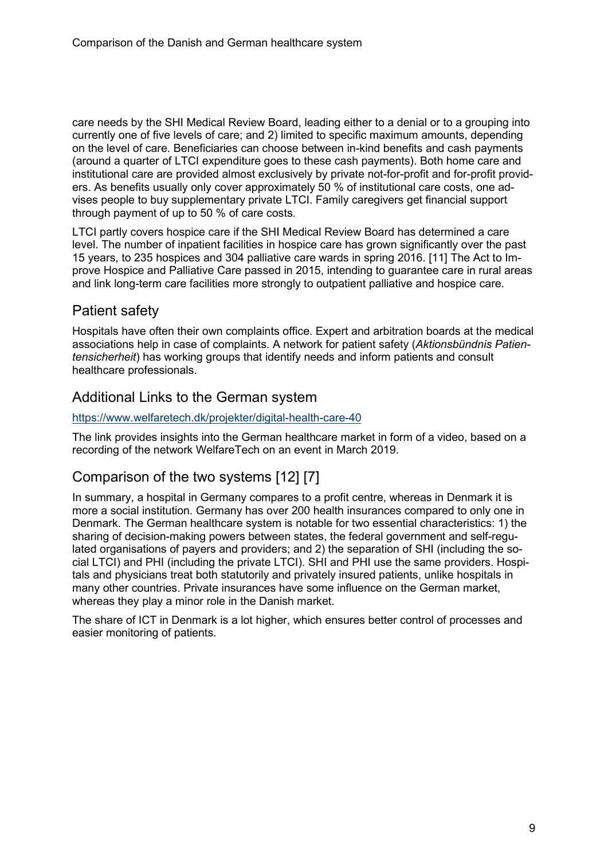care needs by the SHI Medical Review Board, leading either to a denial or to a grouping into currently one of five levels of care; and 2) limited to specific maximum amounts, depending on the level of care. Beneficiaries can choose between in-kind benefits and cash payments (around a quarter of LTCI expenditure goes to these cash payments). Both home care and institutional care are provided almost exclusively by private not-for-profit and for-profit providers. As benefits usually only cover approximately 50 % of institutional care costs, one advises people to buy supplementary private LTCI. Family caregivers get financial support through payment of up to 50 % of care costs.

LTCI partly covers hospice care if the SHI Medical Review Board has determined a care level. The number of inpatient facilities in hospice care has grown significantly over the past 15 years, to 235 hospices and 304 palliative care wards in spring 2016. [11] The Act to Improve Hospice and Palliative Care passed in 2015, intending to guarantee care in rural areas and link long-term care facilities more strongly to outpatient palliative and hospice care.

## <span id="page-8-0"></span>Patient safety

Hospitals have often their own complaints office. Expert and arbitration boards at the medical associations help in case of complaints. A network for patient safety (*Aktionsbündnis Patientensicherheit*) has working groups that identify needs and inform patients and consult healthcare professionals.

## <span id="page-8-1"></span>Additional Links to the German system

#### <https://www.welfaretech.dk/projekter/digital-health-care-40>

The link provides insights into the German healthcare market in form of a video, based on a recording of the network WelfareTech on an event in March 2019.

## <span id="page-8-2"></span>Comparison of the two systems [12] [7]

In summary, a hospital in Germany compares to a profit centre, whereas in Denmark it is more a social institution. Germany has over 200 health insurances compared to only one in Denmark. The German healthcare system is notable for two essential characteristics: 1) the sharing of decision-making powers between states, the federal government and self-regulated organisations of payers and providers; and 2) the separation of SHI (including the social LTCI) and PHI (including the private LTCI). SHI and PHI use the same providers. Hospitals and physicians treat both statutorily and privately insured patients, unlike hospitals in many other countries. Private insurances have some influence on the German market, whereas they play a minor role in the Danish market.

The share of ICT in Denmark is a lot higher, which ensures better control of processes and easier monitoring of patients.